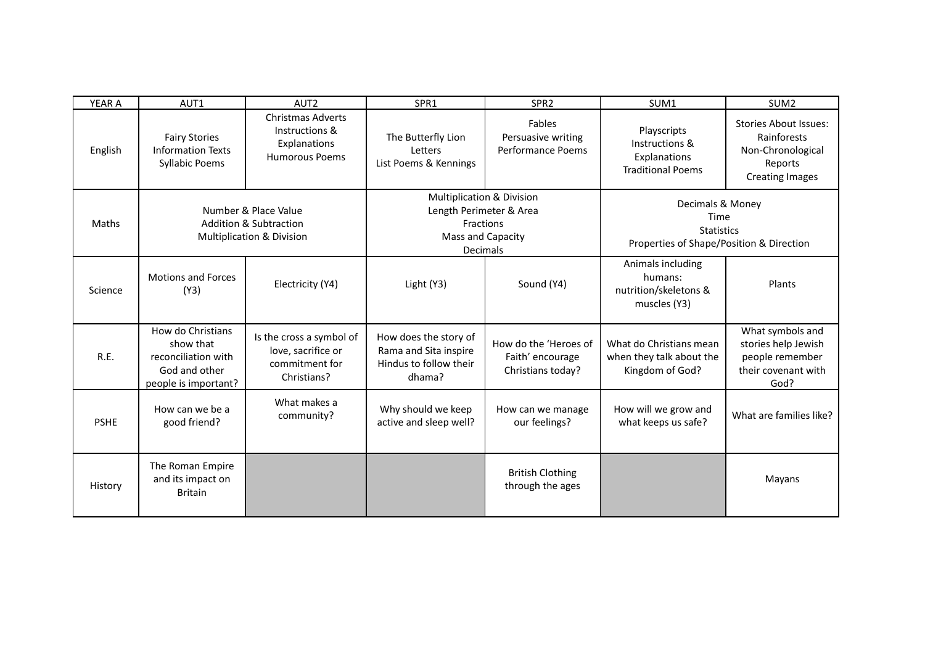| <b>YEAR A</b> | AUT1                                                                                           | AUT <sub>2</sub>                                                                                  | SPR1                                                                                                                        | SPR <sub>2</sub>                                               | SUM1                                                                                      | SUM <sub>2</sub>                                                                                      |
|---------------|------------------------------------------------------------------------------------------------|---------------------------------------------------------------------------------------------------|-----------------------------------------------------------------------------------------------------------------------------|----------------------------------------------------------------|-------------------------------------------------------------------------------------------|-------------------------------------------------------------------------------------------------------|
| English       | <b>Fairy Stories</b><br><b>Information Texts</b><br><b>Syllabic Poems</b>                      | <b>Christmas Adverts</b><br>Instructions &<br>Explanations<br><b>Humorous Poems</b>               | The Butterfly Lion<br>Letters<br>List Poems & Kennings                                                                      | Fables<br>Persuasive writing<br>Performance Poems              | Playscripts<br>Instructions &<br>Explanations<br><b>Traditional Poems</b>                 | <b>Stories About Issues:</b><br>Rainforests<br>Non-Chronological<br>Reports<br><b>Creating Images</b> |
| Maths         |                                                                                                | Number & Place Value<br><b>Addition &amp; Subtraction</b><br><b>Multiplication &amp; Division</b> | <b>Multiplication &amp; Division</b><br>Length Perimeter & Area<br><b>Fractions</b><br>Mass and Capacity<br><b>Decimals</b> |                                                                | Decimals & Money<br>Time<br><b>Statistics</b><br>Properties of Shape/Position & Direction |                                                                                                       |
| Science       | <b>Motions and Forces</b><br>(Y3)                                                              | Electricity (Y4)                                                                                  | Light (Y3)                                                                                                                  | Sound (Y4)                                                     | Animals including<br>humans:<br>nutrition/skeletons &<br>muscles (Y3)                     | Plants                                                                                                |
| R.E.          | How do Christians<br>show that<br>reconciliation with<br>God and other<br>people is important? | Is the cross a symbol of<br>love, sacrifice or<br>commitment for<br>Christians?                   | How does the story of<br>Rama and Sita inspire<br>Hindus to follow their<br>dhama?                                          | How do the 'Heroes of<br>Faith' encourage<br>Christians today? | What do Christians mean<br>when they talk about the<br>Kingdom of God?                    | What symbols and<br>stories help Jewish<br>people remember<br>their covenant with<br>God?             |
| <b>PSHE</b>   | How can we be a<br>good friend?                                                                | What makes a<br>community?                                                                        | Why should we keep<br>active and sleep well?                                                                                | How can we manage<br>our feelings?                             | How will we grow and<br>what keeps us safe?                                               | What are families like?                                                                               |
| History       | The Roman Empire<br>and its impact on<br><b>Britain</b>                                        |                                                                                                   |                                                                                                                             | <b>British Clothing</b><br>through the ages                    |                                                                                           | Mayans                                                                                                |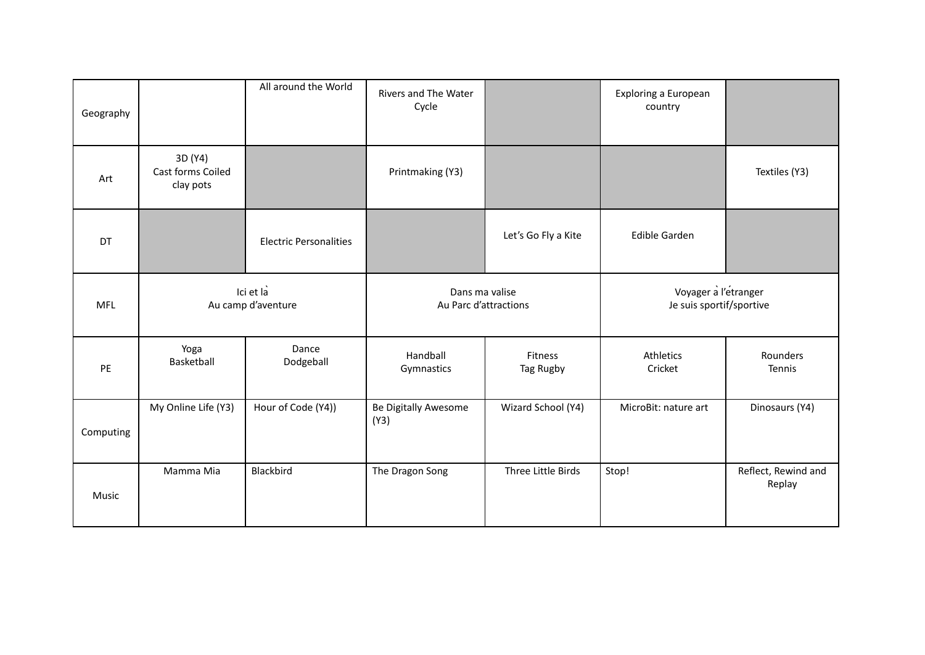| Geography  |                                           | All around the World          | Rivers and The Water<br>Cycle           |                      | Exploring a European<br>country                  |                               |
|------------|-------------------------------------------|-------------------------------|-----------------------------------------|----------------------|--------------------------------------------------|-------------------------------|
| Art        | 3D (Y4)<br>Cast forms Coiled<br>clay pots |                               | Printmaking (Y3)                        |                      |                                                  | Textiles (Y3)                 |
| DT         |                                           | <b>Electric Personalities</b> |                                         | Let's Go Fly a Kite  | <b>Edible Garden</b>                             |                               |
| <b>MFL</b> | Ici et la<br>Au camp d'aventure           |                               | Dans ma valise<br>Au Parc d'attractions |                      | Voyager a l'etranger<br>Je suis sportif/sportive |                               |
| PE         | Yoga<br>Basketball                        | Dance<br>Dodgeball            | Handball<br>Gymnastics                  | Fitness<br>Tag Rugby | Athletics<br>Cricket                             | Rounders<br>Tennis            |
| Computing  | My Online Life (Y3)                       | Hour of Code (Y4))            | Be Digitally Awesome<br>(Y3)            | Wizard School (Y4)   | MicroBit: nature art                             | Dinosaurs (Y4)                |
| Music      | Mamma Mia                                 | Blackbird                     | The Dragon Song                         | Three Little Birds   | Stop!                                            | Reflect, Rewind and<br>Replay |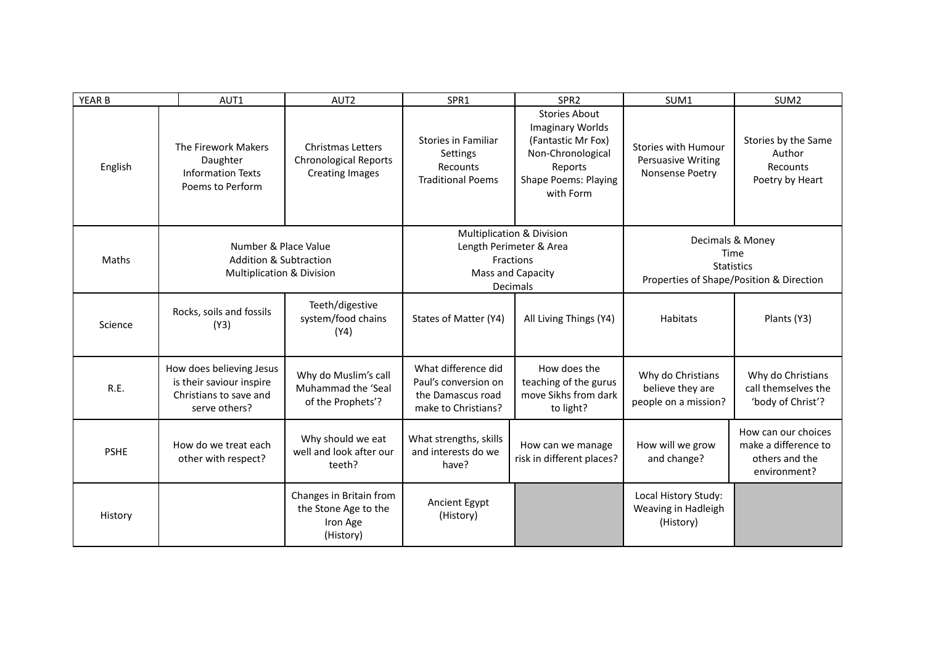| YEAR B      | AUT1                                                                                              | AUT2                                                                               | SPR1                                                                                    | SPR <sub>2</sub>                                                                                                                                  | SUM1                                                                                      | SUM <sub>2</sub>                                                              |
|-------------|---------------------------------------------------------------------------------------------------|------------------------------------------------------------------------------------|-----------------------------------------------------------------------------------------|---------------------------------------------------------------------------------------------------------------------------------------------------|-------------------------------------------------------------------------------------------|-------------------------------------------------------------------------------|
| English     | The Firework Makers<br>Daughter<br><b>Information Texts</b><br>Poems to Perform                   | <b>Christmas Letters</b><br><b>Chronological Reports</b><br><b>Creating Images</b> | <b>Stories in Familiar</b><br>Settings<br>Recounts<br><b>Traditional Poems</b>          | <b>Stories About</b><br><b>Imaginary Worlds</b><br>(Fantastic Mr Fox)<br>Non-Chronological<br>Reports<br><b>Shape Poems: Playing</b><br>with Form | Stories with Humour<br><b>Persuasive Writing</b><br>Nonsense Poetry                       | Stories by the Same<br>Author<br>Recounts<br>Poetry by Heart                  |
| Maths       | Number & Place Value<br><b>Addition &amp; Subtraction</b><br><b>Multiplication &amp; Division</b> |                                                                                    |                                                                                         | <b>Multiplication &amp; Division</b><br>Length Perimeter & Area<br><b>Fractions</b><br>Mass and Capacity<br>Decimals                              | Decimals & Money<br>Time<br><b>Statistics</b><br>Properties of Shape/Position & Direction |                                                                               |
| Science     | Rocks, soils and fossils<br>(Y3)                                                                  | Teeth/digestive<br>system/food chains<br>(Y4)                                      | States of Matter (Y4)                                                                   | All Living Things (Y4)                                                                                                                            | <b>Habitats</b>                                                                           | Plants (Y3)                                                                   |
| R.E.        | How does believing Jesus<br>is their saviour inspire<br>Christians to save and<br>serve others?   | Why do Muslim's call<br>Muhammad the 'Seal<br>of the Prophets'?                    | What difference did<br>Paul's conversion on<br>the Damascus road<br>make to Christians? | How does the<br>teaching of the gurus<br>move Sikhs from dark<br>to light?                                                                        | Why do Christians<br>believe they are<br>people on a mission?                             | Why do Christians<br>call themselves the<br>'body of Christ'?                 |
| <b>PSHE</b> | How do we treat each<br>other with respect?                                                       | Why should we eat<br>well and look after our<br>teeth?                             | What strengths, skills<br>and interests do we<br>have?                                  | How can we manage<br>risk in different places?                                                                                                    | How will we grow<br>and change?                                                           | How can our choices<br>make a difference to<br>others and the<br>environment? |
| History     |                                                                                                   | Changes in Britain from<br>the Stone Age to the<br>Iron Age<br>(History)           | Ancient Egypt<br>(History)                                                              |                                                                                                                                                   | Local History Study:<br>Weaving in Hadleigh<br>(History)                                  |                                                                               |